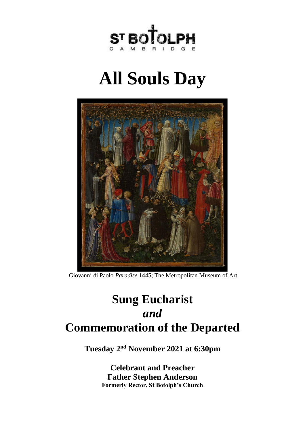

# **All Souls Day**



[Giovanni di Paolo](https://www.metmuseum.org/art/collection/search#!?q=Giovanni di Paolo (Giovanni di Paolo di Grazia)&perPage=20&sortBy=Relevance&offset=0&pageSize=0) *Paradise* 1445; The Metropolitan Museum of Art

## **Sung Eucharist** *and* **Commemoration of the Departed**

**Tuesday 2 nd November 2021 at 6:30pm**

**Celebrant and Preacher Father Stephen Anderson Formerly Rector, St Botolph's Church**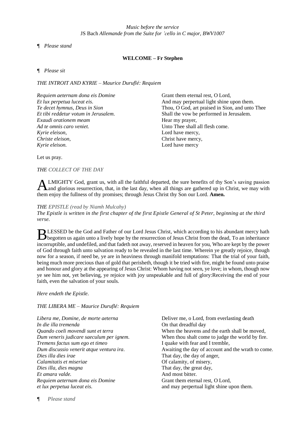#### *¶ Please stand*

#### **WELCOME – Fr Stephen**

*¶ Please sit*

*THE INTROIT AND KYRIE – Maurice Duruflé: Requiem*

| Requiem aeternam dona eis Domine     |  |
|--------------------------------------|--|
| Et lux perpetua luceat eis.          |  |
| Te decet hymnus, Deus in Sion        |  |
| Et tibi reddetur votum in Jerusalem. |  |
| Exaudi orationem meam                |  |
| Ad te omnis caro veniet.             |  |
| Kyrie eleison,                       |  |
| Christe eleison,                     |  |
| Kyrie eleison.                       |  |

Grant them eternal rest, O Lord, And may perpertual light shine upon them. Thou, O God, art praised in Sion, and unto Thee Shall the vow be performed in Jerusalem. Hear my prayer, Unto Thee shall all flesh come. Lord have mercy, Christ have mercy, Lord have mercy

Let us pray.

*THE COLLECT OF THE DAY*

LMIGHTY God, grant us, with all the faithful departed, the sure benefits of thy Son's saving passion ALMIGHTY God, grant us, with all the faithful departed, the sure benefits of thy Son's saving passion and glorious resurrection, that, in the last day, when all things are gathered up in Christ, we may with them enjoy the fullness of thy promises; through Jesus Christ thy Son our Lord. **Amen.**

#### *THE EPISTLE (read by Niamh Mulcahy)*

*The Epistle is written in the first chapter of the first Epistle General of St Peter, beginning at the third verse.*

LESSED be the God and Father of our Lord Jesus Christ, which according to his abundant mercy hath BLESSED be the God and Father of our Lord Jesus Christ, which according to his abundant mercy hath begotten us again unto a lively hope by the resurrection of Jesus Christ from the dead, To an inheritance incorruptible, and undefiled, and that fadeth not away, reserved in heaven for you, Who are kept by the power of God through faith unto salvation ready to be revealed in the last time. Wherein ye greatly rejoice, though now for a season, if need be, ye are in heaviness through manifold temptations: That the trial of your faith, being much more precious than of gold that perisheth, though it be tried with fire, might be found unto praise and honour and glory at the appearing of Jesus Christ: Whom having not seen, ye love; in whom, though now ye see him not, yet believing, ye rejoice with joy unspeakable and full of glory:Receiving the end of your faith, even the salvation of your souls.

#### *Here endeth the Epistle.*

#### *THE LIBERA ME – Maurice Duruflé: Requiem*

*Libera me, Domine, de morte aeterna In die illa tremenda Quando coeli movendi sunt et terra Dum veneris judicare saeculum per ignem. Tremens factus sum ego et timeo Dum discussio venerit atque ventura ira. Dies illa dies irae Calamitatis et miseriae Dies illa, dies magna Et amara valde. Requiem aeternam dona eis Domine et lux perpetua luceat eis.*

Deliver me, o Lord, from everlasting death On that dreadful day When the heavens and the earth shall be moved, When thou shalt come to judge the world by fire. I quake with fear and I tremble, Awaiting the day of account and the wrath to come. That day, the day of anger, Of calamity, of misery, That day, the great day, And most bitter. Grant them eternal rest, O Lord, and may perpertual light shine upon them.

*¶ Please stand*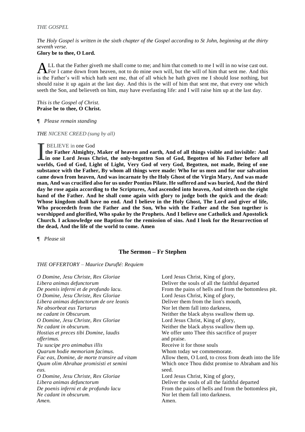#### *THE GOSPEL*

*The Holy Gospel is written in the sixth chapter of the Gospel according to St John, beginning at the thirty seventh verse.*

#### **Glory be to thee, O Lord.**

LL that the Father giveth me shall come to me; and him that cometh to me I will in no wise cast out. ALL that the Father giveth me shall come to me; and him that cometh to me I will in no wise cast out.<br>For I came down from heaven, not to do mine own will, but the will of him that sent me. And this is the Father's will which hath sent me, that of all which he hath given me I should lose nothing, but should raise it up again at the last day. And this is the will of him that sent me, that every one which seeth the Son, and believeth on him, may have everlasting life: and I will raise him up at the last day.

*This is the Gospel of Christ.* **Praise be to thee, O Christ.**

*¶ Please remain standing*

*THE NICENE CREED (sung by all)*

#### BELIEVE in one God

**the Father Almighty, Maker of heaven and earth, And of all things visible and invisible: And in one Lord Jesus Christ, the only-begotten Son of God, Begotten of his Father before all worlds, God of God, Light of Light, Very God of very God, Begotten, not made, Being of one**<br> **worlds, God of God, Light of Light, Very God of very God, Begotten, not made, Being of one substance with the Father, By whom all things were made: Who for us men and for our salvation came down from heaven, And was incarnate by the Holy Ghost of the Virgin Mary, And was made man, And was crucified also for us under Pontius Pilate. He suffered and was buried, And the third day he rose again according to the Scriptures, And ascended into heaven, And sitteth on the right hand of the Father. And he shall come again with glory to judge both the quick and the dead: Whose kingdom shall have no end. And I believe in the Holy Ghost, The Lord and giver of life, Who proceedeth from the Father and the Son, Who with the Father and the Son together is worshipped and glorified, Who spake by the Prophets. And I believe one Catholick and Apostolick Church. I acknowledge one Baptism for the remission of sins. And I look for the Resurrection of the dead, And the life of the world to come. Amen**

*¶ Please sit*

#### **The Sermon – Fr Stephen**

*THE OFFERTORY – Maurice Duruflé: Requiem*

*O Domine, Jesu Christe, Rex Gloriae Libera animas defunctorum De poenis inferni et de profundo lacu. O Domine, Jesu Christe, Rex Gloriae Libera animas defunctorum de ore leonis Ne absorbeat eus Tartarus ne cadant in Obscurum. O Domine, Jesu Christe, Rex Gloriae Ne cadant in obscurum. Hostias et preces tibi Domine, laudis offerimus. Tu suscipe pro animabus illis Quarum hodie memoriam facimus. Fac eas, Domine, de morte transire ad vitam Quam olim Abrahae promisisti et semini eus. O Domine, Jesu Christe, Rex Gloriae Libera animas defunctorum De poenis inferni et de profundo lacu Ne cadant in obscurum. Amen.*

Lord Jesus Christ, King of glory, Deliver the souls of all the faithful departed From the pains of hells and from the bottomless pit. Lord Jesus Christ, King of glory, Deliver them from the lion's mouth, Nor let them fall into darkness, Neither the black abyss swallow them up. Lord Jesus Christ, King of glory, Neither the black abyss swallow them up. We offer unto Thee this sacrifice of prayer and praise. Receive it for those souls Whom today we commemorate. Allow them, O Lord, to cross from death into the life Which once Thou didst promise to Abraham and his seed. Lord Jesus Christ, King of glory, Deliver the souls of all the faithful departed From the pains of hells and from the bottomless pit, Nor let them fall into darkness. Amen.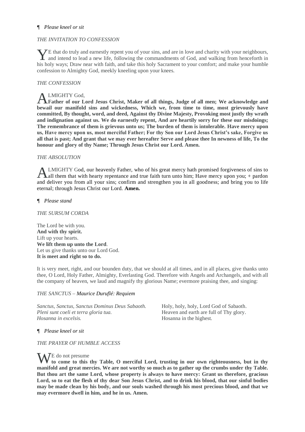#### *¶ Please kneel or sit*

### *THE INVITATION TO CONFESSION*

E that do truly and earnestly repent you of your sins, and are in love and charity with your neighbours, YE that do truly and earnestly repent you of your sins, and are in love and charity with your neighbours, and intend to lead a new life, following the commandments of God, and walking from henceforth in his holy ways; Draw near with faith, and take this holy Sacrament to your comfort; and make your humble confession to Almighty God, meekly kneeling upon your knees.

#### *THE CONFESSION*

### LMIGHTY God,

**Father of our Lord Jesus Christ, Maker of all things, Judge of all men; We acknowledge and**  A **bewail our manifold sins and wickedness, Which we, from time to time, most grievously have committed, By thought, word, and deed, Against thy Divine Majesty, Provoking most justly thy wrath and indignation against us. We do earnestly repent, And are heartily sorry for these our misdoings; The remembrance of them is grievous unto us; The burden of them is intolerable. Have mercy upon us, Have mercy upon us, most merciful Father; For thy Son our Lord Jesus Christ's sake, Forgive us all that is past; And grant that we may ever hereafter Serve and please thee In newness of life, To the honour and glory of thy Name; Through Jesus Christ our Lord. Amen.** 

#### *THE ABSOLUTION*

LMIGHTY God, our heavenly Father, who of his great mercy hath promised forgiveness of sins to all them that with hearty repentance and true faith turn unto him; Have mercy upon you; + pardon and deliver you from all your sins; confirm and strengthen you in all goodness; and bring you to life eternal; through Jesus Christ our Lord. **Amen.** A

*¶ Please stand*

#### *THE SURSUM CORDA*

The Lord be with you. **And with thy spirit.** Lift up your hearts. **We lift them up unto the Lord**. Let us give thanks unto our Lord God. **It is meet and right so to do.** 

It is very meet, right, and our bounden duty, that we should at all times, and in all places, give thanks unto thee, O Lord, Holy Father, Almighty, Everlasting God. Therefore with Angels and Archangels, and with all the company of heaven, we laud and magnify thy glorious Name; evermore praising thee, and singing:

#### *THE SANCTUS – Maurice Duruflé: Requiem*

*Sanctus, Sanctus, Sanctus Dominus Deus Sabaoth. Pleni sunt coeli et terra gloria tua. Hosanna in excelsis.*

Holy, holy, holy, Lord God of Sabaoth. Heaven and earth are full of Thy glory. Hosanna in the highest.

#### *¶ Please kneel or sit*

#### *THE PRAYER OF HUMBLE ACCESS*

WE do not presume<br>to this **to come to this thy Table, O merciful Lord, trusting in our own righteousness, but in thy manifold and great mercies. We are not worthy so much as to gather up the crumbs under thy Table. But thou art the same Lord, whose property is always to have mercy: Grant us therefore, gracious Lord, so to eat the flesh of thy dear Son Jesus Christ, and to drink his blood, that our sinful bodies may be made clean by his body, and our souls washed through his most precious blood, and that we may evermore dwell in him, and he in us. Amen.**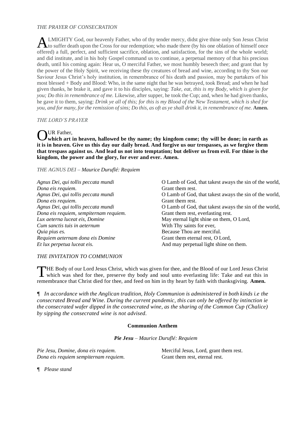#### *THE PRAYER OF CONSECRATION*

LMIGHTY God, our heavenly Father, who of thy tender mercy, didst give thine only Son Jesus Christ ALMIGHTY God, our heavenly Father, who of thy tender mercy, didst give thine only Son Jesus Christ<br>to suffer death upon the Cross for our redemption; who made there (by his one oblation of himself once offered) a full, perfect, and sufficient sacrifice, oblation, and satisfaction, for the sins of the whole world; and did institute, and in his holy Gospel command us to continue, a perpetual memory of that his precious death, until his coming again: Hear us, O merciful Father, we most humbly beseech thee; and grant that by the power of the Holy Spirit, we receiving these thy creatures of bread and wine, according to thy Son our Saviour Jesus Christ's holy institution, in remembrance of his death and passion, may be partakers of his most blessed + Body and Blood: Who, in the same night that he was betrayed, took Bread; and when he had given thanks, he brake it, and gave it to his disciples, saying: *Take, eat, this is my Body, which is given for you; Do this in remembrance of me.* Likewise, after supper, he took the Cup; and, when he had given thanks, he gave it to them, saying: *Drink ye all of this; for this is my Blood of the New Testament, which is shed for you, and for many, for the remission of sins; Do this, as oft as ye shall drink it, in remembrance of me.* **Amen.**

#### *THE LORD'S PRAYER*

### UR Father,

**which art in heaven, hallowed be thy name; thy kingdom come; thy will be done; in earth as**  O **it is in heaven. Give us this day our daily bread. And forgive us our trespasses, as we forgive them that trespass against us. And lead us not into temptation; but deliver us from evil. For thine is the kingdom, the power and the glory, for ever and ever. Amen.**

*THE AGNUS DEI – Maurice Duruflé: Requiem*

*Agnus Dei, qui tollis peccata mundi Dona eis requiem. Agnus Dei, qui tollis peccata mundi Dona eis requiem. Agnus Dei, qui tollis peccata mundi Dona eis requiem, sempiternam requiem. Lux aeterna luceat eis, Domine Cum sanctis tuis in aeternum Quia pius es. Requiem aeternam dona eis Domine Et lux perpetua luceat eis.*

O Lamb of God, that takest aways the sin of the world, Grant them rest. O Lamb of God, that takest aways the sin of the world, Grant them rest. O Lamb of God, that takest aways the sin of the world, Grant them rest, everlasting rest. May eternal light shine on them, O Lord, With Thy saints for ever, Because Thou are merciful. Grant them eternal rest, O Lord, And may perpetual light shine on them.

#### *THE INVITATION TO COMMUNION*

THE Body of our Lord Jesus Christ, which was given for thee, and the Blood of our Lord Jesus Christ<br>
which was shed for thee, preserve thy body and soul unto everlasting life: Take and eat this in which was shed for thee, preserve thy body and soul unto everlasting life: Take and eat this in remembrance that Christ died for thee, and feed on him in thy heart by faith with thanksgiving. **Amen.**

*¶ In accordance with the Anglican tradition, Holy Communion is administered in both kinds i.e the consecrated Bread and Wine. During the current pandemic, this can only be offered by intinction ie the consecrated wafer dipped in the consecrated wine, as the sharing of the Common Cup (Chalice) by sipping the consecrated wine is not advised.*

#### **Communion Anthem**

*Pie Jesu – Maurice Duruflé: Requiem*

*Pie Jesu, Domine, dona eis requiem. Dona eis requiem sempiternam requiem.* Merciful Jesus, Lord, grant them rest. Grant them rest, eternal rest.

*¶ Please stand*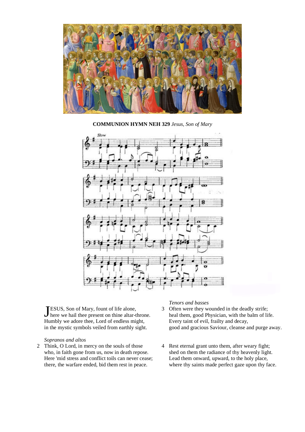

**COMMUNION HYMN NEH 329** *Jesus, Son of Mary*



ESUS, Son of Mary, fount of life alone, JESUS, Son of Mary, fount of life alone,<br>J here we hail thee present on thine altar-throne. Humbly we adore thee, Lord of endless might, in the mystic symbols veiled from earthly sight.

#### *Sopranos and altos*

2 Think, O Lord, in mercy on the souls of those who, in faith gone from us, now in death repose. Here 'mid stress and conflict toils can never cease; there, the warfare ended, bid them rest in peace.

#### *Tenors and basses*

- 3 Often were they wounded in the deadly strife; heal them, good Physician, with the balm of life. Every taint of evil, frailty and decay, good and gracious Saviour, cleanse and purge away.
- 4 Rest eternal grant unto them, after weary fight; shed on them the radiance of thy heavenly light. Lead them onward, upward, to the holy place, where thy saints made perfect gaze upon thy face.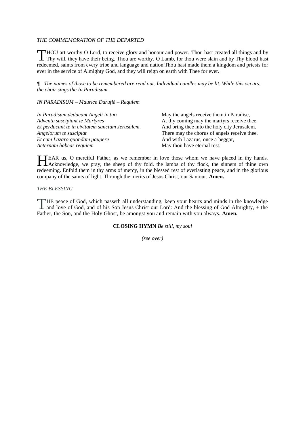#### *THE COMMEMORATION OF THE DEPARTED*

HOU art worthy O Lord, to receive glory and honour and power. Thou hast created all things and by ThOU art worthy O Lord, to receive glory and honour and power. Thou hast created all things and by Thy will, they have their being. Thou are worthy, O Lamb, for thou were slain and by Thy blood hast redeemed, saints from every tribe and language and nation.Thou hast made them a kingdom and priests for ever in the service of Almighty God, and they will reign on earth with Thee for ever.

*¶ The names of those to be remembered are read out. Individual candles may be lit. While this occurs, the choir sings the In Paradisum.*

*IN PARADISUM – Maurice Duruflé – Requiem*

*In Paradisum deducant Angeli in tuo Adventu suscipiant te Martyres Et perducant te in civitatem sanctam Jerusalem. Angelorum te suscipiat Et cum Lazaro quondam paupere Aeternam habeas requiem.*

May the angels receive them in Paradise, At thy coming may the martyrs receive thee And bring thee into the holy city Jerusalem. There may the chorus of angels receive thee, And with Lazarus, once a beggar, May thou have eternal rest.

EAR us, O merciful Father, as we remember in love those whom we have placed in thy hands. HEAR us, O merciful Father, as we remember in love those whom we have placed in thy hands.<br>Acknowledge, we pray, the sheep of thy fold. the lambs of thy flock, the sinners of thine own redeeming. Enfold them in thy arms of mercy, in the blessed rest of everlasting peace, and in the glorious company of the saints of light. Through the merits of Jesus Christ, our Saviour. **Amen.**

#### *THE BLESSING*

HE peace of God, which passeth all understanding, keep your hearts and minds in the knowledge THE peace of God, which passeth all understanding, keep your hearts and minds in the knowledge and love of God, and of his Son Jesus Christ our Lord: And the blessing of God Almighty, + the Father, the Son, and the Holy Ghost, be amongst you and remain with you always. **Amen.**

**CLOSING HYMN** *Be still, my soul*

*(see over)*